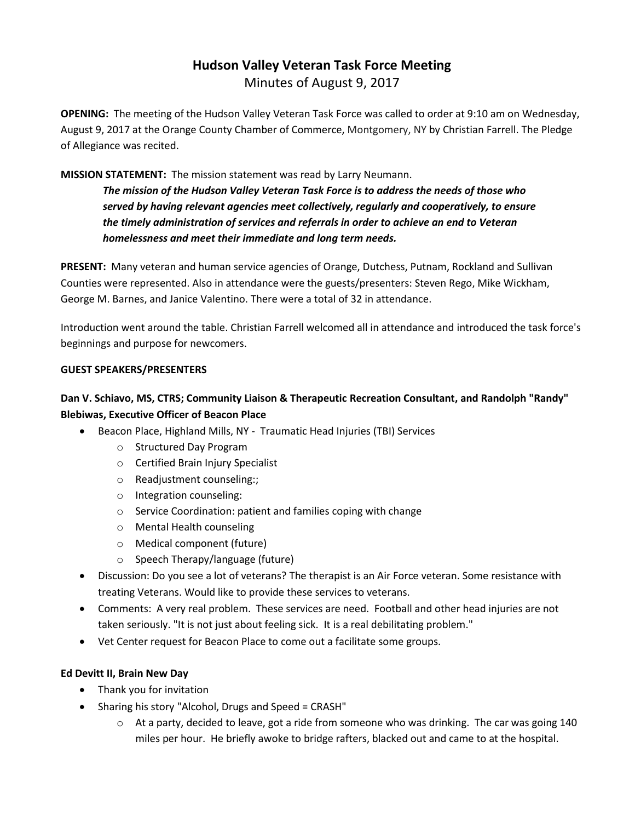# **Hudson Valley Veteran Task Force Meeting**  Minutes of August 9, 2017

**OPENING:** The meeting of the Hudson Valley Veteran Task Force was called to order at 9:10 am on Wednesday, August 9, 2017 at the Orange County Chamber of Commerce, Montgomery, NY by Christian Farrell. The Pledge of Allegiance was recited.

## **MISSION STATEMENT:** The mission statement was read by Larry Neumann.

*The mission of the Hudson Valley Veteran Task Force is to address the needs of those who served by having relevant agencies meet collectively, regularly and cooperatively, to ensure the timely administration of services and referrals in order to achieve an end to Veteran homelessness and meet their immediate and long term needs.* 

**PRESENT:** Many veteran and human service agencies of Orange, Dutchess, Putnam, Rockland and Sullivan Counties were represented. Also in attendance were the guests/presenters: Steven Rego, Mike Wickham, George M. Barnes, and Janice Valentino. There were a total of 32 in attendance.

Introduction went around the table. Christian Farrell welcomed all in attendance and introduced the task force's beginnings and purpose for newcomers.

#### **GUEST SPEAKERS/PRESENTERS**

# **Dan V. Schiavo, MS, CTRS; Community Liaison & Therapeutic Recreation Consultant, and Randolph "Randy" Blebiwas, Executive Officer of Beacon Place**

- Beacon Place, Highland Mills, NY Traumatic Head Injuries (TBI) Services
	- o Structured Day Program
	- o Certified Brain Injury Specialist
	- o Readjustment counseling:;
	- o Integration counseling:
	- o Service Coordination: patient and families coping with change
	- o Mental Health counseling
	- o Medical component (future)
	- o Speech Therapy/language (future)
- Discussion: Do you see a lot of veterans? The therapist is an Air Force veteran. Some resistance with treating Veterans. Would like to provide these services to veterans.
- Comments: A very real problem. These services are need. Football and other head injuries are not taken seriously. "It is not just about feeling sick. It is a real debilitating problem."
- Vet Center request for Beacon Place to come out a facilitate some groups.

#### **Ed Devitt II, Brain New Day**

- Thank you for invitation
- Sharing his story "Alcohol, Drugs and Speed = CRASH"
	- $\circ$  At a party, decided to leave, got a ride from someone who was drinking. The car was going 140 miles per hour. He briefly awoke to bridge rafters, blacked out and came to at the hospital.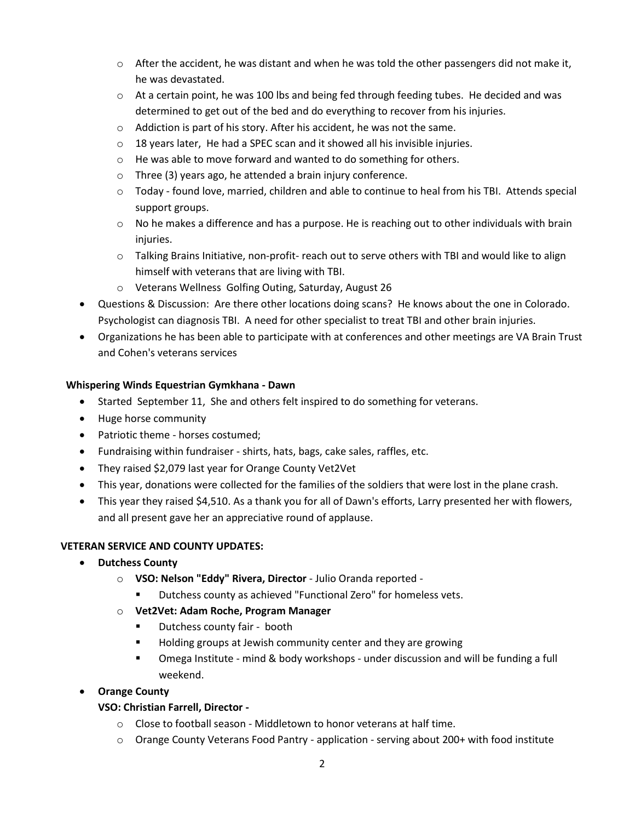- $\circ$  After the accident, he was distant and when he was told the other passengers did not make it, he was devastated.
- $\circ$  At a certain point, he was 100 lbs and being fed through feeding tubes. He decided and was determined to get out of the bed and do everything to recover from his injuries.
- o Addiction is part of his story. After his accident, he was not the same.
- o 18 years later, He had a SPEC scan and it showed all his invisible injuries.
- o He was able to move forward and wanted to do something for others.
- o Three (3) years ago, he attended a brain injury conference.
- o Today found love, married, children and able to continue to heal from his TBI. Attends special support groups.
- $\circ$  No he makes a difference and has a purpose. He is reaching out to other individuals with brain injuries.
- o Talking Brains Initiative, non-profit- reach out to serve others with TBI and would like to align himself with veterans that are living with TBI.
- o Veterans Wellness Golfing Outing, Saturday, August 26
- Questions & Discussion: Are there other locations doing scans? He knows about the one in Colorado. Psychologist can diagnosis TBI. A need for other specialist to treat TBI and other brain injuries.
- Organizations he has been able to participate with at conferences and other meetings are VA Brain Trust and Cohen's veterans services

## **Whispering Winds Equestrian Gymkhana - Dawn**

- Started September 11, She and others felt inspired to do something for veterans.
- Huge horse community
- Patriotic theme horses costumed;
- Fundraising within fundraiser shirts, hats, bags, cake sales, raffles, etc.
- They raised \$2,079 last year for Orange County Vet2Vet
- This year, donations were collected for the families of the soldiers that were lost in the plane crash.
- This year they raised \$4,510. As a thank you for all of Dawn's efforts, Larry presented her with flowers, and all present gave her an appreciative round of applause.

## **VETERAN SERVICE AND COUNTY UPDATES:**

- **Dutchess County**
	- o **VSO: Nelson "Eddy" Rivera, Director**  Julio Oranda reported
		- Dutchess county as achieved "Functional Zero" for homeless vets.
	- o **Vet2Vet: Adam Roche, Program Manager**
		- Dutchess county fair booth
		- Holding groups at Jewish community center and they are growing
		- Omega Institute mind & body workshops under discussion and will be funding a full weekend.
- **Orange County**

## **VSO: Christian Farrell, Director -**

- $\circ$  Close to football season Middletown to honor veterans at half time.
- o Orange County Veterans Food Pantry application serving about 200+ with food institute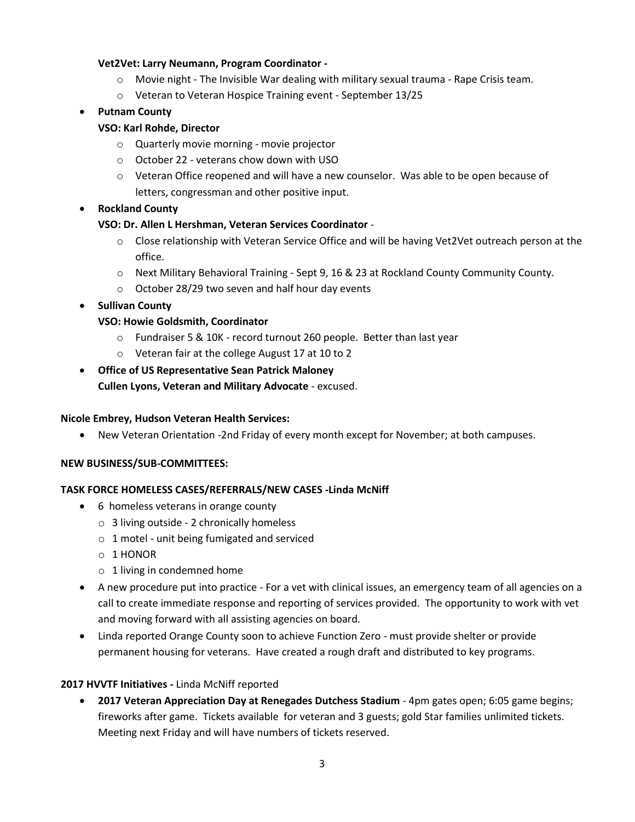#### **Vet2Vet: Larry Neumann, Program Coordinator -**

- o Movie night The Invisible War dealing with military sexual trauma Rape Crisis team.
- o Veteran to Veteran Hospice Training event September 13/25

## • **Putnam County**

## **VSO: Karl Rohde, Director**

- o Quarterly movie morning movie projector
- o October 22 veterans chow down with USO
- o Veteran Office reopened and will have a new counselor. Was able to be open because of letters, congressman and other positive input.

## • **Rockland County**

#### **VSO: Dr. Allen L Hershman, Veteran Services Coordinator** -

- o Close relationship with Veteran Service Office and will be having Vet2Vet outreach person at the office.
- o Next Military Behavioral Training Sept 9, 16 & 23 at Rockland County Community County.
- o October 28/29 two seven and half hour day events
- **Sullivan County**

## **VSO: Howie Goldsmith, Coordinator**

- o Fundraiser 5 & 10K record turnout 260 people. Better than last year
- o Veteran fair at the college August 17 at 10 to 2
- **Office of US Representative Sean Patrick Maloney Cullen Lyons, Veteran and Military Advocate** - excused.

#### **Nicole Embrey, Hudson Veteran Health Services:**

• New Veteran Orientation -2nd Friday of every month except for November; at both campuses.

#### **NEW BUSINESS/SUB-COMMITTEES:**

#### **TASK FORCE HOMELESS CASES/REFERRALS/NEW CASES -Linda McNiff**

- 6 homeless veterans in orange county
	- $\circ$  3 living outside 2 chronically homeless
	- o 1 motel unit being fumigated and serviced
	- o 1 HONOR
	- o 1 living in condemned home
- A new procedure put into practice For a vet with clinical issues, an emergency team of all agencies on a call to create immediate response and reporting of services provided. The opportunity to work with vet and moving forward with all assisting agencies on board.
- Linda reported Orange County soon to achieve Function Zero must provide shelter or provide permanent housing for veterans. Have created a rough draft and distributed to key programs.

#### **2017 HVVTF Initiatives -** Linda McNiff reported

• **2017 Veteran Appreciation Day at Renegades Dutchess Stadium** - 4pm gates open; 6:05 game begins; fireworks after game. Tickets available for veteran and 3 guests; gold Star families unlimited tickets. Meeting next Friday and will have numbers of tickets reserved.